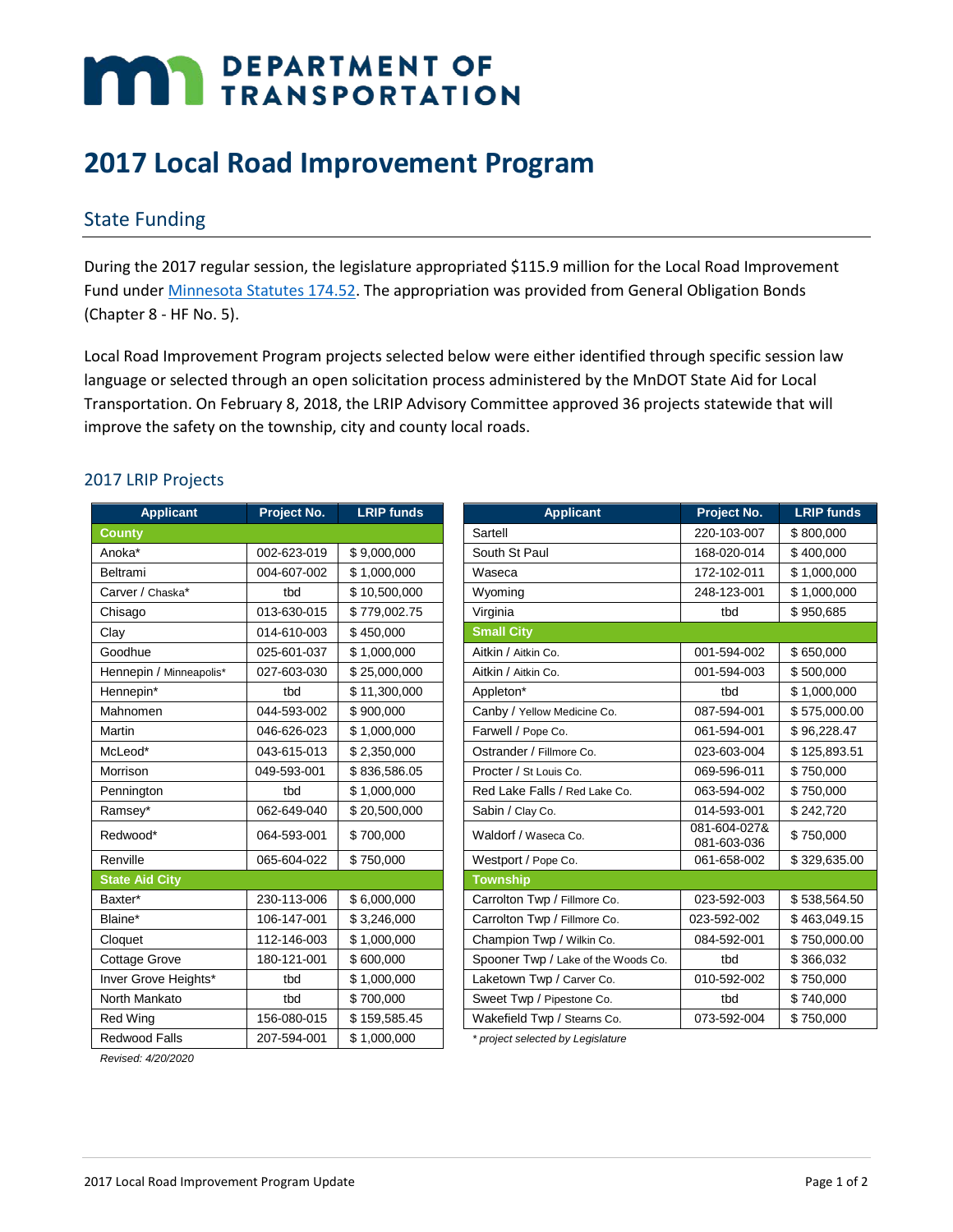# **MAY DEPARTMENT OF TRANSPORTATION**

# **2017 Local Road Improvement Program**

## State Funding

During the 2017 regular session, the legislature appropriated \$115.9 million for the Local Road Improvement Fund under [Minnesota Statutes 174.52.](https://www.revisor.mn.gov/statutes/?id=174.52) The appropriation was provided from General Obligation Bonds (Chapter 8 - HF No. 5).

Local Road Improvement Program projects selected below were either identified through specific session law language or selected through an open solicitation process administered by the MnDOT State Aid for Local Transportation. On February 8, 2018, the LRIP Advisory Committee approved 36 projects statewide that will improve the safety on the township, city and county local roads.

#### 2017 LRIP Projects

| <b>Applicant</b>        | Project No. | <b>LRIP funds</b> | <b>Applicant</b>                    | Project No.                 |
|-------------------------|-------------|-------------------|-------------------------------------|-----------------------------|
| <b>County</b>           |             |                   | Sartell                             | 220-103-007                 |
| Anoka*                  | 002-623-019 | \$9,000,000       | South St Paul                       | 168-020-014                 |
| Beltrami                | 004-607-002 | \$1,000,000       | Waseca                              | 172-102-011                 |
| Carver / Chaska*        | tbd         | \$10.500.000      | Wyoming                             | 248-123-001                 |
| Chisago                 | 013-630-015 | \$779,002.75      | Virginia                            | tbd                         |
| Clay                    | 014-610-003 | \$450,000         | <b>Small City</b>                   |                             |
| Goodhue                 | 025-601-037 | \$1,000,000       | Aitkin / Aitkin Co.                 | 001-594-002                 |
| Hennepin / Minneapolis* | 027-603-030 | \$25,000,000      | Aitkin / Aitkin Co.                 | 001-594-003                 |
| Hennepin*               | tbd         | \$11,300,000      | Appleton*                           | tbd                         |
| Mahnomen                | 044-593-002 | \$900.000         | Canby / Yellow Medicine Co.         | 087-594-001                 |
| Martin                  | 046-626-023 | \$1,000,000       | Farwell / Pope Co.                  | 061-594-001                 |
| McLeod*                 | 043-615-013 | \$2,350,000       | Ostrander / Fillmore Co.            | 023-603-004                 |
| Morrison                | 049-593-001 | \$836,586.05      | Procter / St Louis Co.              | 069-596-011                 |
| Pennington              | tbd         | \$1,000,000       | Red Lake Falls / Red Lake Co.       | 063-594-002                 |
| Ramsey*                 | 062-649-040 | \$20,500,000      | Sabin / Clay Co.                    | 014-593-001                 |
| Redwood*                | 064-593-001 | \$700,000         | Waldorf / Waseca Co.                | 081-604-027&<br>081-603-036 |
| Renville                | 065-604-022 | \$750,000         | Westport / Pope Co.                 | 061-658-002                 |
| <b>State Aid City</b>   |             |                   | <b>Township</b>                     |                             |
| Baxter*                 | 230-113-006 | \$6,000,000       | Carrolton Twp / Fillmore Co.        | 023-592-003                 |
| Blaine*                 | 106-147-001 | \$3,246,000       | Carrolton Twp / Fillmore Co.        | 023-592-002                 |
| Cloquet                 | 112-146-003 | \$1,000,000       | Champion Twp / Wilkin Co.           | 084-592-001                 |
| <b>Cottage Grove</b>    | 180-121-001 | \$600,000         | Spooner Twp / Lake of the Woods Co. | tbd                         |
| Inver Grove Heights*    | tbd         | \$1,000,000       | Laketown Twp / Carver Co.           | 010-592-002                 |
| North Mankato           | tbd         | \$700,000         | Sweet Twp / Pipestone Co.           | tbd                         |
| <b>Red Wing</b>         | 156-080-015 | \$159,585.45      | Wakefield Twp / Stearns Co.         | 073-592-004                 |
| Redwood Falls           | 207-594-001 | \$1,000,000       | * project selected by Legislature   |                             |

| <b>Applicant</b>        | Project No. | <b>LRIP funds</b> |
|-------------------------|-------------|-------------------|
| County                  |             |                   |
| Anoka*                  | 002-623-019 | \$9,000,000       |
| Beltrami                | 004-607-002 | \$1,000,000       |
| Carver / Chaska*        | tbd         | \$10,500,000      |
| Chisago                 | 013-630-015 | \$779,002.75      |
| Clay                    | 014-610-003 | \$450,000         |
| Goodhue                 | 025-601-037 | \$1,000,000       |
| Hennepin / Minneapolis* | 027-603-030 | \$25,000,000      |
| Hennepin*               | tbd         | \$11,300,000      |
| Mahnomen                | 044-593-002 | \$900,000         |
| <b>Martin</b>           | 046-626-023 | \$1,000,000       |
| McLeod*                 | 043-615-013 | \$2,350,000       |
| Morrison                | 049-593-001 | \$836,586.05      |
| Pennington              | tbd         | \$1.000.000       |
| Ramsey*                 | 062-649-040 | \$20,500,000      |
| Redwood*                | 064-593-001 | \$700,000         |
| Renville                | 065-604-022 | \$750,000         |
| <b>State Aid City</b>   |             |                   |
| Baxter*                 | 230-113-006 | \$6,000,000       |
| Blaine*                 | 106-147-001 | \$3,246,000       |
| Cloquet                 | 112-146-003 | \$1,000,000       |
| Cottage Grove           | 180-121-001 | \$600,000         |
| Inver Grove Heights*    | tbd         | \$1,000,000       |
| North Mankato           | tbd         | \$700,000         |
| Red Wing                | 156-080-015 | \$159,585.45      |
| - - - -                 | 0.07724001  | $A$ , $A$         |

*Revised: 4/20/2020*